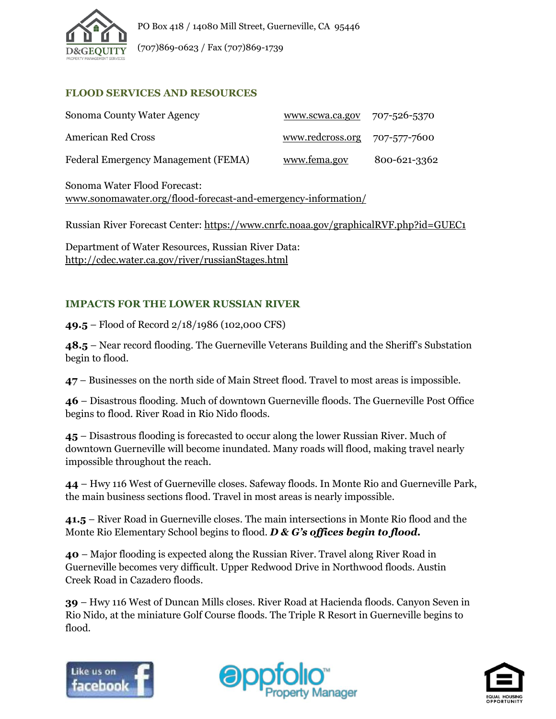

(707)869-0623 / Fax (707)869-1739

## **FLOOD SERVICES AND RESOURCES**

| Sonoma County Water Agency          | www.scwa.ca.gov 707-526-5370     |              |
|-------------------------------------|----------------------------------|--------------|
| American Red Cross                  | $www. redcross.org 707-577-7600$ |              |
| Federal Emergency Management (FEMA) | www.fema.gov                     | 800-621-3362 |

Sonoma Water Flood Forecast: [www.sonomawater.org/flood-forecast-and-emergency-information/](http://www.sonomawater.org/flood-forecast-and-emergency-information/)

Russian River Forecast Center:<https://www.cnrfc.noaa.gov/graphicalRVF.php?id=GUEC1>

Department of Water Resources, Russian River Data: <http://cdec.water.ca.gov/river/russianStages.html>

## **IMPACTS FOR THE LOWER RUSSIAN RIVER**

**49.5** – Flood of Record 2/18/1986 (102,000 CFS)

**48.5** – Near record flooding. The Guerneville Veterans Building and the Sheriff's Substation begin to flood.

**47** – Businesses on the north side of Main Street flood. Travel to most areas is impossible.

**46** – Disastrous flooding. Much of downtown Guerneville floods. The Guerneville Post Office begins to flood. River Road in Rio Nido floods.

**45** – Disastrous flooding is forecasted to occur along the lower Russian River. Much of downtown Guerneville will become inundated. Many roads will flood, making travel nearly impossible throughout the reach.

**44** – Hwy 116 West of Guerneville closes. Safeway floods. In Monte Rio and Guerneville Park, the main business sections flood. Travel in most areas is nearly impossible.

**41.5** – River Road in Guerneville closes. The main intersections in Monte Rio flood and the Monte Rio Elementary School begins to flood. *D & G's offices begin to flood.*

**40** – Major flooding is expected along the Russian River. Travel along River Road in Guerneville becomes very difficult. Upper Redwood Drive in Northwood floods. Austin Creek Road in Cazadero floods.

**39** – Hwy 116 West of Duncan Mills closes. River Road at Hacienda floods. Canyon Seven in Rio Nido, at the miniature Golf Course floods. The Triple R Resort in Guerneville begins to flood.